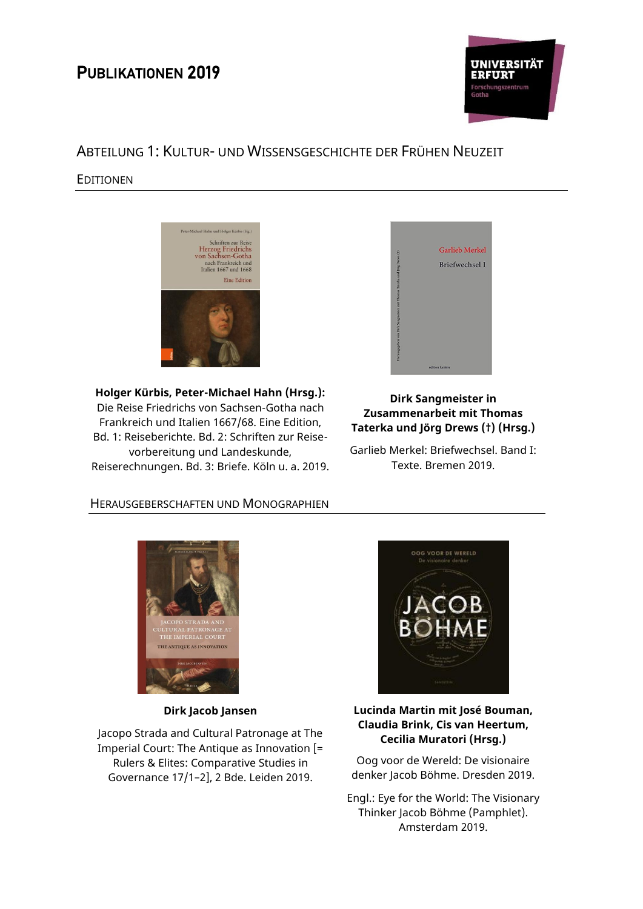# PUBLIKATIONEN 2019



# ABTEILUNG 1: KULTUR- UND WISSENSGESCHICHTE DER FRÜHEN NEUZEIT

## EDITIONEN



**Holger Kürbis, Peter-Michael Hahn (Hrsg.):** Die Reise Friedrichs von Sachsen-Gotha nach Frankreich und Italien 1667/68. Eine Edition, Bd. 1: Reiseberichte. Bd. 2: Schriften zur Reisevorbereitung und Landeskunde, Reiserechnungen. Bd. 3: Briefe. Köln u. a. 2019.



## **Dirk Sangmeister in Zusammenarbeit mit Thomas Taterka und Jörg Drews (†) (Hrsg.)**

Garlieb Merkel: Briefwechsel. Band I: Texte. Bremen 2019.

# HERAUSGEBERSCHAFTEN UND MONOGRAPHIEN



**Dirk Jacob Jansen** 

Jacopo Strada and Cultural Patronage at The Imperial Court: The Antique as Innovation [= Rulers & Elites: Comparative Studies in Governance 17/1–2], 2 Bde. Leiden 2019.



#### **Lucinda Martin mit José Bouman, Claudia Brink, Cis van Heertum, Cecilia Muratori (Hrsg.)**

Oog voor de Wereld: De visionaire denker Jacob Böhme. Dresden 2019.

Engl.: Eye for the World: The Visionary Thinker Jacob Böhme (Pamphlet). Amsterdam 2019.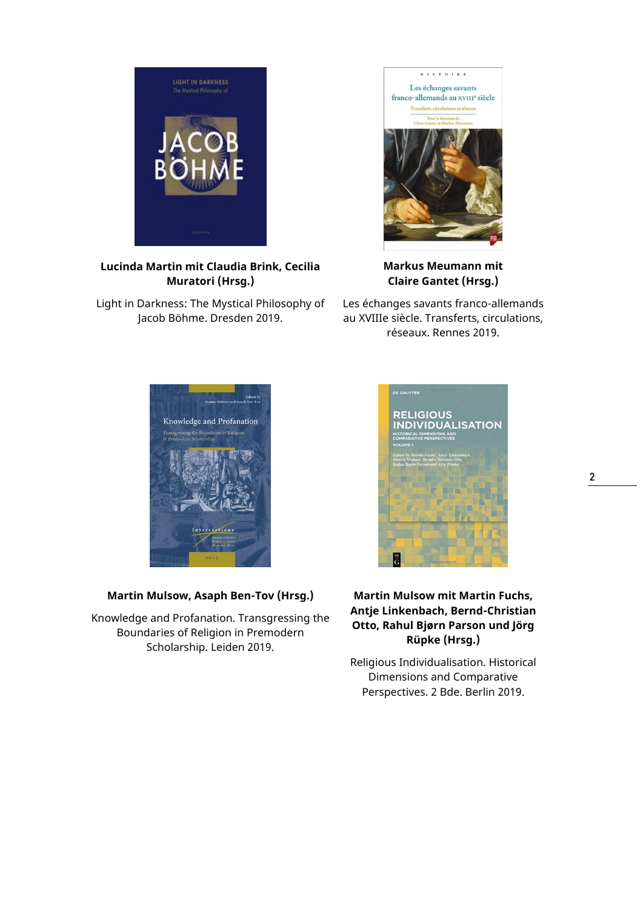

**Lucinda Martin mit Claudia Brink, Cecilia Muratori (Hrsg.)**

Light in Darkness: The Mystical Philosophy of Jacob Böhme. Dresden 2019.



**Markus Meumann mit Claire Gantet (Hrsg.)**

Les échanges savants franco-allemands au XVIIIe siècle. Transferts, circulations, réseaux. Rennes 2019.



## **Martin Mulsow, Asaph Ben-Tov (Hrsg.)**

Knowledge and Profanation. Transgressing the Boundaries of Religion in Premodern Scholarship. Leiden 2019.



## **Martin Mulsow mit Martin Fuchs, Antje Linkenbach, Bernd-Christian Otto, Rahul Bjørn Parson und Jörg Rüpke (Hrsg.)**

Religious Individualisation. Historical Dimensions and Comparative Perspectives. 2 Bde. Berlin 2019.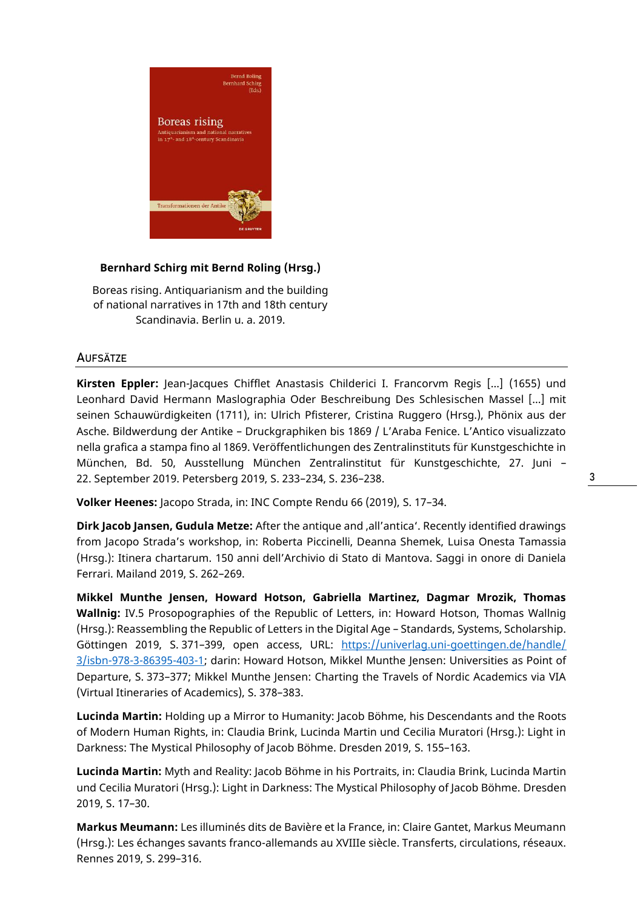

#### **Bernhard Schirg mit Bernd Roling (Hrsg.)**

Boreas rising. Antiquarianism and the building of national narratives in 17th and 18th century Scandinavia. Berlin u. a. 2019.

#### **AUFSÄTZE**

**Kirsten Eppler:** Jean-Jacques Chifflet Anastasis Childerici I. Francorvm Regis […] (1655) und Leonhard David Hermann Maslographia Oder Beschreibung Des Schlesischen Massel […] mit seinen Schauwürdigkeiten (1711), in: Ulrich Pfisterer, Cristina Ruggero (Hrsg.), Phönix aus der Asche. Bildwerdung der Antike – Druckgraphiken bis 1869 / L'Araba Fenice. L'Antico visualizzato nella grafica a stampa fino al 1869. Veröffentlichungen des Zentralinstituts für Kunstgeschichte in München, Bd. 50, Ausstellung München Zentralinstitut für Kunstgeschichte, 27. Juni – 22. September 2019. Petersberg 2019, S. 233–234, S. 236–238.

**Volker Heenes:** Jacopo Strada, in: INC Compte Rendu 66 (2019), S. 17–34.

**Dirk Jacob Jansen, Gudula Metze:** After the antique and 'all'antica'. Recently identified drawings from Jacopo Strada's workshop, in: Roberta Piccinelli, Deanna Shemek, Luisa Onesta Tamassia (Hrsg.): Itinera chartarum. 150 anni dell'Archivio di Stato di Mantova. Saggi in onore di Daniela Ferrari. Mailand 2019, S. 262–269.

**Mikkel Munthe Jensen, Howard Hotson, Gabriella Martinez, Dagmar Mrozik, Thomas Wallnig:** IV.5 Prosopographies of the Republic of Letters, in: Howard Hotson, Thomas Wallnig (Hrsg.): Reassembling the Republic of Letters in the Digital Age – Standards, Systems, Scholarship. Göttingen 2019, S. 371–399, open access, URL: [https://univerlag.uni-goettingen.de/handle/](https://univerlag.uni-goettingen.de/handle/3/isbn-978-3-86395-403-1) [3/isbn-978-3-86395-403-1;](https://univerlag.uni-goettingen.de/handle/3/isbn-978-3-86395-403-1) darin: Howard Hotson, Mikkel Munthe Jensen: Universities as Point of Departure, S. 373–377; Mikkel Munthe Jensen: Charting the Travels of Nordic Academics via VIA (Virtual Itineraries of Academics), S. 378–383.

**Lucinda Martin:** Holding up a Mirror to Humanity: Jacob Böhme, his Descendants and the Roots of Modern Human Rights, in: Claudia Brink, Lucinda Martin und Cecilia Muratori (Hrsg.): Light in Darkness: The Mystical Philosophy of Jacob Böhme. Dresden 2019, S. 155–163.

**Lucinda Martin:** Myth and Reality: Jacob Böhme in his Portraits, in: Claudia Brink, Lucinda Martin und Cecilia Muratori (Hrsg.): Light in Darkness: The Mystical Philosophy of Jacob Böhme. Dresden 2019, S. 17–30.

**Markus Meumann:** Les illuminés dits de Bavière et la France, in: Claire Gantet, Markus Meumann (Hrsg.): Les échanges savants franco-allemands au XVIIIe siècle. Transferts, circulations, réseaux. Rennes 2019, S. 299–316.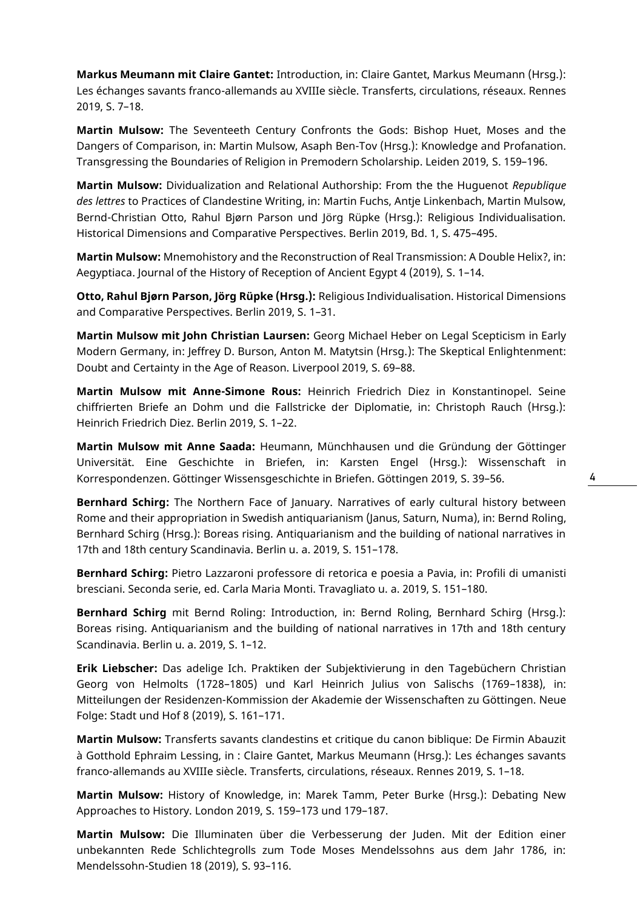**Markus Meumann mit Claire Gantet:** Introduction, in: Claire Gantet, Markus Meumann (Hrsg.): Les échanges savants franco-allemands au XVIIIe siècle. Transferts, circulations, réseaux. Rennes 2019, S. 7–18.

**Martin Mulsow:** The Seventeeth Century Confronts the Gods: Bishop Huet, Moses and the Dangers of Comparison, in: Martin Mulsow, Asaph Ben-Tov (Hrsg.): Knowledge and Profanation. Transgressing the Boundaries of Religion in Premodern Scholarship. Leiden 2019, S. 159–196.

**Martin Mulsow:** Dividualization and Relational Authorship: From the the Huguenot *Republique des lettres* to Practices of Clandestine Writing, in: Martin Fuchs, Antje Linkenbach, Martin Mulsow, Bernd-Christian Otto, Rahul Bjørn Parson und Jörg Rüpke (Hrsg.): Religious Individualisation. Historical Dimensions and Comparative Perspectives. Berlin 2019, Bd. 1, S. 475–495.

**Martin Mulsow:** Mnemohistory and the Reconstruction of Real Transmission: A Double Helix?, in: Aegyptiaca. Journal of the History of Reception of Ancient Egypt 4 (2019), S. 1–14.

**Otto, Rahul Bjørn Parson, Jörg Rüpke (Hrsg.):** Religious Individualisation. Historical Dimensions and Comparative Perspectives. Berlin 2019, S. 1–31.

**Martin Mulsow mit John Christian Laursen:** Georg Michael Heber on Legal Scepticism in Early Modern Germany, in: Jeffrey D. Burson, Anton M. Matytsin (Hrsg.): The Skeptical Enlightenment: Doubt and Certainty in the Age of Reason. Liverpool 2019, S. 69–88.

**Martin Mulsow mit Anne-Simone Rous:** Heinrich Friedrich Diez in Konstantinopel. Seine chiffrierten Briefe an Dohm und die Fallstricke der Diplomatie, in: Christoph Rauch (Hrsg.): Heinrich Friedrich Diez. Berlin 2019, S. 1–22.

**Martin Mulsow mit Anne Saada:** Heumann, Münchhausen und die Gründung der Göttinger Universität. Eine Geschichte in Briefen, in: Karsten Engel (Hrsg.): Wissenschaft in Korrespondenzen. Göttinger Wissensgeschichte in Briefen. Göttingen 2019, S. 39–56.

**Bernhard Schirg:** The Northern Face of January. Narratives of early cultural history between Rome and their appropriation in Swedish antiquarianism (Janus, Saturn, Numa), in: Bernd Roling, Bernhard Schirg (Hrsg.): Boreas rising. Antiquarianism and the building of national narratives in 17th and 18th century Scandinavia. Berlin u. a. 2019, S. 151–178.

**Bernhard Schirg:** Pietro Lazzaroni professore di retorica e poesia a Pavia, in: Profili di umanisti bresciani. Seconda serie, ed. Carla Maria Monti. Travagliato u. a. 2019, S. 151–180.

**Bernhard Schirg** mit Bernd Roling: Introduction, in: Bernd Roling, Bernhard Schirg (Hrsg.): Boreas rising. Antiquarianism and the building of national narratives in 17th and 18th century Scandinavia. Berlin u. a. 2019, S. 1–12.

**Erik Liebscher:** Das adelige Ich. Praktiken der Subjektivierung in den Tagebüchern Christian Georg von Helmolts (1728–1805) und Karl Heinrich Julius von Salischs (1769–1838), in: Mitteilungen der Residenzen-Kommission der Akademie der Wissenschaften zu Göttingen. Neue Folge: Stadt und Hof 8 (2019), S. 161–171.

**Martin Mulsow:** Transferts savants clandestins et critique du canon biblique: De Firmin Abauzit à Gotthold Ephraim Lessing, in : Claire Gantet, Markus Meumann (Hrsg.): Les échanges savants franco-allemands au XVIIIe siècle. Transferts, circulations, réseaux. Rennes 2019, S. 1–18.

**Martin Mulsow:** History of Knowledge, in: Marek Tamm, Peter Burke (Hrsg.): Debating New Approaches to History. London 2019, S. 159–173 und 179–187.

**Martin Mulsow:** Die Illuminaten über die Verbesserung der Juden. Mit der Edition einer unbekannten Rede Schlichtegrolls zum Tode Moses Mendelssohns aus dem Jahr 1786, in: Mendelssohn-Studien 18 (2019), S. 93–116.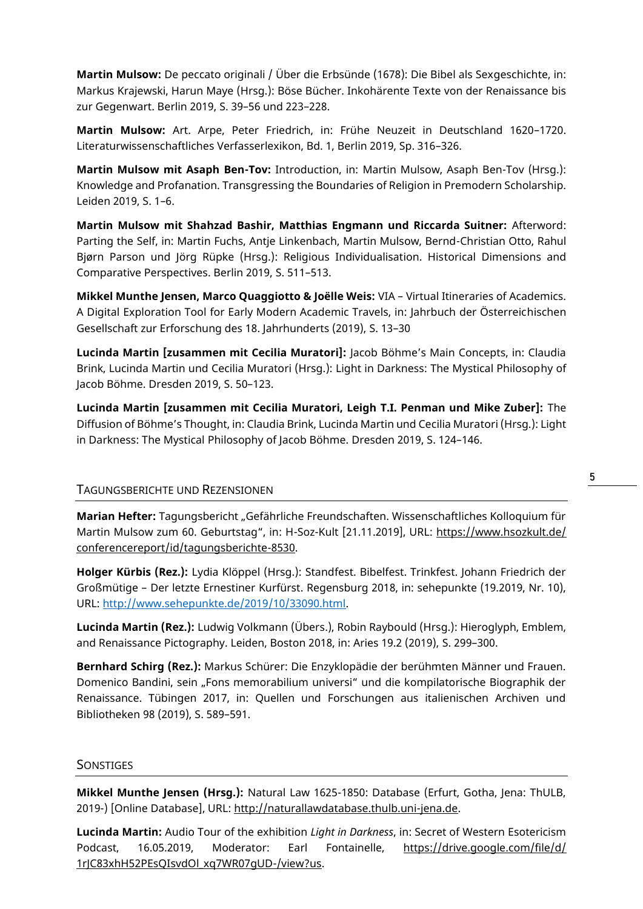**Martin Mulsow:** De peccato originali / Über die Erbsünde (1678): Die Bibel als Sexgeschichte, in: Markus Krajewski, Harun Maye (Hrsg.): Böse Bücher. Inkohärente Texte von der Renaissance bis zur Gegenwart. Berlin 2019, S. 39–56 und 223–228.

**Martin Mulsow:** Art. Arpe, Peter Friedrich, in: Frühe Neuzeit in Deutschland 1620–1720. Literaturwissenschaftliches Verfasserlexikon, Bd. 1, Berlin 2019, Sp. 316–326.

**Martin Mulsow mit Asaph Ben-Tov:** Introduction, in: Martin Mulsow, Asaph Ben-Tov (Hrsg.): Knowledge and Profanation. Transgressing the Boundaries of Religion in Premodern Scholarship. Leiden 2019, S. 1–6.

**Martin Mulsow mit Shahzad Bashir, Matthias Engmann und Riccarda Suitner:** Afterword: Parting the Self, in: Martin Fuchs, Antje Linkenbach, Martin Mulsow, Bernd-Christian Otto, Rahul Bjørn Parson und Jörg Rüpke (Hrsg.): Religious Individualisation. Historical Dimensions and Comparative Perspectives. Berlin 2019, S. 511–513.

**Mikkel Munthe Jensen, Marco Quaggiotto & Joëlle Weis:** VIA – Virtual Itineraries of Academics. A Digital Exploration Tool for Early Modern Academic Travels, in: Jahrbuch der Österreichischen Gesellschaft zur Erforschung des 18. Jahrhunderts (2019), S. 13–30

**Lucinda Martin [zusammen mit Cecilia Muratori]:** Jacob Böhme's Main Concepts, in: Claudia Brink, Lucinda Martin und Cecilia Muratori (Hrsg.): Light in Darkness: The Mystical Philosophy of Jacob Böhme. Dresden 2019, S. 50–123.

**Lucinda Martin [zusammen mit Cecilia Muratori, Leigh T.I. Penman und Mike Zuber]:** The Diffusion of Böhme's Thought, in: Claudia Brink, Lucinda Martin und Cecilia Muratori (Hrsg.): Light in Darkness: The Mystical Philosophy of Jacob Böhme. Dresden 2019, S. 124–146.

#### TAGUNGSBERICHTE UND REZENSIONEN

Marian Hefter: Tagungsbericht "Gefährliche Freundschaften. Wissenschaftliches Kolloquium für Martin Mulsow zum 60. Geburtstag", in: H-Soz-Kult [21.11.2019], URL: [https://www.hsozkult.de/](https://www.hsozkult.de/conferencereport/id/tagungsberichte-8530) [conferencereport/id/tagungsberichte-8530.](https://www.hsozkult.de/conferencereport/id/tagungsberichte-8530)

**Holger Kürbis (Rez.):** Lydia Klöppel (Hrsg.): Standfest. Bibelfest. Trinkfest. Johann Friedrich der Großmütige – Der letzte Ernestiner Kurfürst. Regensburg 2018, in: sehepunkte (19.2019, Nr. 10), URL: [http://www.sehepunkte.de/2019/10/33090.html.](http://www.sehepunkte.de/2019​/10/33090.html)

**Lucinda Martin (Rez.):** Ludwig Volkmann (Übers.), Robin Raybould (Hrsg.): Hieroglyph, Emblem, and Renaissance Pictography. Leiden, Boston 2018, in: Aries 19.2 (2019), S. 299–300.

**Bernhard Schirg (Rez.):** Markus Schürer: Die Enzyklopädie der berühmten Männer und Frauen. Domenico Bandini, sein "Fons memorabilium universi" und die kompilatorische Biographik der Renaissance. Tübingen 2017, in: Quellen und Forschungen aus italienischen Archiven und Bibliotheken 98 (2019), S. 589–591.

#### **SONSTIGES**

**Mikkel Munthe Jensen (Hrsg.):** Natural Law 1625-1850: Database (Erfurt, Gotha, Jena: ThULB, 2019-) [Online Database], URL: [http://naturallawdatabase.thulb.uni-jena.de.](http://naturallawdatabase.thulb.uni-jena.de/)

**Lucinda Martin:** Audio Tour of the exhibition *Light in Darkness*, in: Secret of Western Esotericism Podcast, 16.05.2019, Moderator: Earl Fontainelle, [https://drive.google.com/file/d/](https://drive.google.com/file/d/1rJC83xhH52PEsQIsvdOl_xq7WR07gUD-/view?us) 1rJC83xhH52PEsQIsvdOl\_xq7WR07qUD-/view?us.